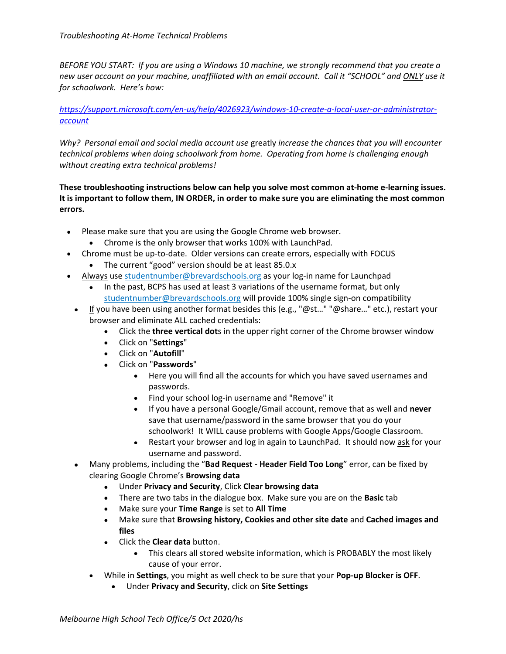*BEFORE YOU START: If you are using a Windows 10 machine, we strongly recommend that you create a new user account on your machine, unaffiliated with an email account. Call it "SCHOOL" and ONLY use it for schoolwork. Here's how:*

## *[https://support.microsoft.com/en-us/help/4026923/windows-10-create-a-local-user-or-administrator](https://support.microsoft.com/en-us/help/4026923/windows-10-create-a-local-user-or-administrator-account)[account](https://support.microsoft.com/en-us/help/4026923/windows-10-create-a-local-user-or-administrator-account)*

*Why? Personal email and social media account use* greatly *increase the chances that you will encounter technical problems when doing schoolwork from home. Operating from home is challenging enough without creating extra technical problems!*

## **These troubleshooting instructions below can help you solve most common at-home e-learning issues. It is important to follow them, IN ORDER, in order to make sure you are eliminating the most common errors.**

- Please make sure that you are using the Google Chrome web browser.
	- Chrome is the only browser that works 100% with LaunchPad.
- Chrome must be up-to-date. Older versions can create errors, especially with FOCUS
	- The current "good" version should be at least 85.0.x
- Always use studentnumber@brevardschools.org as your log-in name for Launchpad
	- In the past, BCPS has used at least 3 variations of the username format, but only studentnumber@brevardschools.org will provide 100% single sign-on compatibility
- $\bullet$  If you have been using another format besides this (e.g., "@st..." "@share..." etc.), restart your browser and eliminate ALL cached credentials:
	- Click the **three vertical dot**s in the upper right corner of the Chrome browser window
	- Click on "**Settings**"
	- Click on "**Autofill**"
	- Click on "**Passwords**"
		- Here you will find all the accounts for which you have saved usernames and passwords.
		- Find your school log-in username and "Remove" it
		- If you have a personal Google/Gmail account, remove that as well and **never** save that username/password in the same browser that you do your schoolwork! It WILL cause problems with Google Apps/Google Classroom.
		- Restart your browser and log in again to LaunchPad. It should now ask for your username and password.
- Many problems, including the "**Bad Request - Header Field Too Long**" error, can be fixed by clearing Google Chrome's **Browsing data**
	- Under **Privacy and Security**, Click **Clear browsing data**
	- There are two tabs in the dialogue box. Make sure you are on the **Basic** tab
	- Make sure your **Time Range** is set to **All Time**
	- Make sure that **Browsing history, Cookies and other site date** and **Cached images and files**
	- Click the **Clear data** button.
		- This clears all stored website information, which is PROBABLY the most likely cause of your error.
	- While in **Settings**, you might as well check to be sure that your **Pop-up Blocker is OFF**.
		- Under **Privacy and Security**, click on **Site Settings**